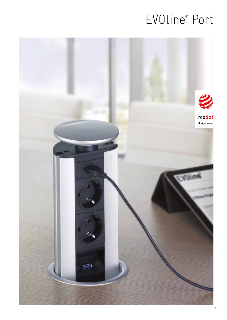# EVOline<sup>®</sup> Port

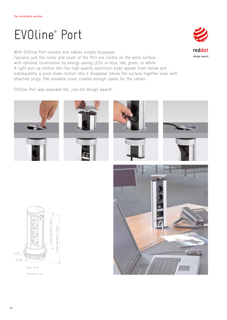# EVOline® Port

With EVOline Port sockets and cables simply disappear. Typically just the collar and cover of the Port are visible on the work surface – with optional illumination by energy saving LEDs in blue, red, green, or white. A light pull-up motion lets the high-quality aluminum body appear from below and subsequently a push-down motion lets it disappear below the surface together even with attached plugs. The movable cover creates enough space for the cables.

EVOline Port was awarded the "red dot design award".













Cutout Ø 102

Dimensions in mm

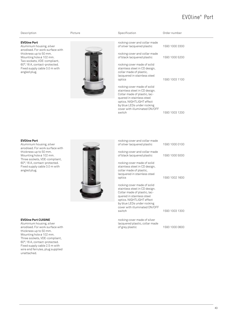## EVOline® Port

### **EVOline Port**



| Description                                                                                                                                                                                                                                               | Picture | Specification                                                                                                                                                                                                                                                                                                                                                                                                                                                                                       | Order number                                                         |
|-----------------------------------------------------------------------------------------------------------------------------------------------------------------------------------------------------------------------------------------------------------|---------|-----------------------------------------------------------------------------------------------------------------------------------------------------------------------------------------------------------------------------------------------------------------------------------------------------------------------------------------------------------------------------------------------------------------------------------------------------------------------------------------------------|----------------------------------------------------------------------|
| <b>EVOline Port</b><br>Aluminium housing, silver<br>anodised. For work surface with<br>thickness up to 50 mm.<br>Mounting hole ø 102 mm.<br>Two sockets, VDE-compliant,<br>60°, 16 A, contact-protected.<br>Fixed supply cable 3.0 m with<br>angled plug. |         | rocking cover and collar made<br>of silver lacquered plastic<br>rocking cover and collar made<br>of black lacquered plastic<br>rocking cover made of solid<br>stainless steel in CD design,<br>collar made of plastic,<br>lacquered in stainless steel<br>optics<br>rocking cover made of solid<br>stainless steel in CD design.<br>Collar made of plastic, lac-<br>quered in stainless steel<br>optics. NIGHTLIGHT effect<br>by blue LEDs under rocking<br>cover with illuminated ON/OFF<br>switch | 1593 1000 3300<br>1593 1000 5200<br>1593 1003 1100<br>1593 1003 1200 |
|                                                                                                                                                                                                                                                           |         |                                                                                                                                                                                                                                                                                                                                                                                                                                                                                                     |                                                                      |

### **EVOline Port**

Aluminium housing, silver anodised. For work surface with thickness up to 50 mm. Mounting hole ø 102 mm. Three sockets, VDE-compliant, 60°, 16 A, contact-protected. Fixed supply cable 3.0 m with angled plug.

**EVOline Port CUISINE** Aluminium housing, silver anodised. For work surface with thickness up to 50 mm. Mounting hole ø 102 mm. Three sockets, VDE-compliant, 60°, 16 A, contact-protected. Fixed supply cable 2.5 m with wire end ferrules, plug supplied

unattached.



| TUUKING UUVEL ANU UULLAI MAUE<br>of silver lacquered plastic                                                                                           | 1593 1000 0100 |
|--------------------------------------------------------------------------------------------------------------------------------------------------------|----------------|
| rocking cover and collar made<br>of black lacquered plastic                                                                                            | 1593 1000 5000 |
| rocking cover made of solid<br>stainless steel in CD design,<br>collar made of plastic,<br>lacquered in stainless steel<br>optics                      | 1593 1002 1600 |
| rocking cover made of solid<br>stainless steel in CD design.<br>Collar made of plastic, lac-<br>quered in stainless steel<br>optics. NIGHTLIGHT effect |                |
| by blue LEDs under rocking<br>cover with illuminated ON/OFF<br>switch                                                                                  | 1593 1003 1300 |
| rocking cover made of silver                                                                                                                           |                |
|                                                                                                                                                        |                |

rocking cover and collar made

lacquered plastic, collar made<br>of grey plastic

1593 1000 0600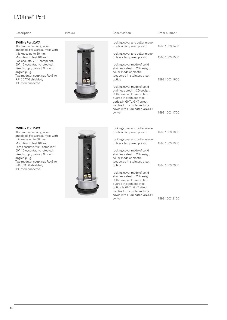## EVOline® Port

| Description                                                                                                                                                            | Picture | Specification                                                                                                                                                                                                         | Order number   |
|------------------------------------------------------------------------------------------------------------------------------------------------------------------------|---------|-----------------------------------------------------------------------------------------------------------------------------------------------------------------------------------------------------------------------|----------------|
| <b>EVOline Port DATA</b><br>Aluminium housing, silver<br>anodised. For work surface with                                                                               |         | rocking cover and collar made<br>of silver lacquered plastic                                                                                                                                                          | 1593 1003 1400 |
| thickness up to 50 mm.<br>Mounting hole ø 102 mm.                                                                                                                      |         | rocking cover and collar made<br>of black lacquered plastic                                                                                                                                                           | 1593 1003 1500 |
| Two sockets, VDE-compliant,<br>60°, 16 A, contact-protected.<br>Fixed supply cable 3.0 m with<br>angled plug.<br>Two modular couplings RJ45 to<br>RJ45 CAT 6 shielded, |         | rocking cover made of solid<br>stainless steel in CD design,<br>collar made of plastic,<br>lacquered in stainless steel<br>optics                                                                                     | 1593 1003 1600 |
| 1:1 interconnected.                                                                                                                                                    |         | rocking cover made of solid<br>stainless steel in CD design.<br>Collar made of plastic, lac-<br>quered in stainless steel<br>optics. NIGHTLIGHT effect<br>by blue LEDs under rocking<br>cover with illuminated ON/OFF |                |
|                                                                                                                                                                        |         | switch                                                                                                                                                                                                                | 1593 1003 1700 |
| <b>EVOline Port DATA</b><br>Aluminium housing, silver                                                                                                                  |         | rocking cover and collar made<br>of silver lacquered plastic                                                                                                                                                          | 1593 1003 1800 |
| anodised. For work surface with<br>thickness up to 50 mm.                                                                                                              |         | rocking cover and collar made                                                                                                                                                                                         |                |
| Mounting hole ø 102 mm.<br>Three sockets, VDE-compliant,                                                                                                               |         | of black lacquered plastic                                                                                                                                                                                            | 1593 1003 1900 |
| 60°, 16 A, contact-protected.<br>Fixed supply cable 3.0 m with<br>angled plug.<br>Two modular couplings RJ45 to                                                        |         | rocking cover made of solid<br>stainless steel in CD design,<br>collar made of plastic,<br>lacquered in stainless steel                                                                                               |                |
| RJ45 CAT 6 shielded.<br>1:1 interconnected.                                                                                                                            |         | optics                                                                                                                                                                                                                | 1593 1003 2000 |
|                                                                                                                                                                        |         | rocking cover made of solid<br>stainless steel in CD design.<br>Collar made of plastic, lac-                                                                                                                          |                |

quered in stainless steel optics. NIGHTLIGHT effect by blue LEDs under rocking cover with illuminated ON/OFF

1593 1003 2100

switch